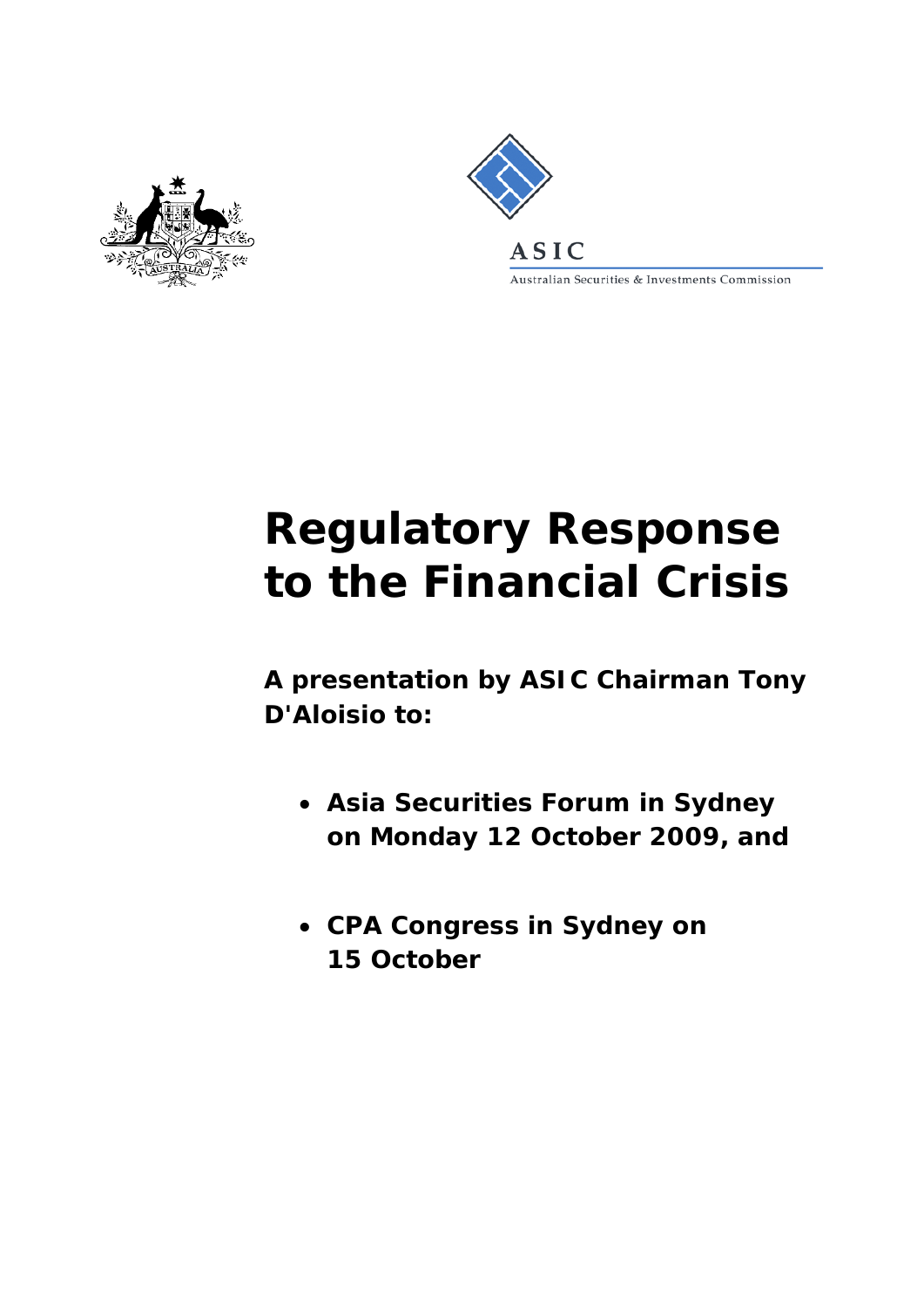



Australian Securities & Investments Commission

# **Regulatory Response to the Financial Crisis**

**A presentation by ASIC Chairman Tony D'Aloisio to:**

- **Asia Securities Forum in Sydney on Monday 12 October 2009, and**
- **CPA Congress in Sydney on 15 October**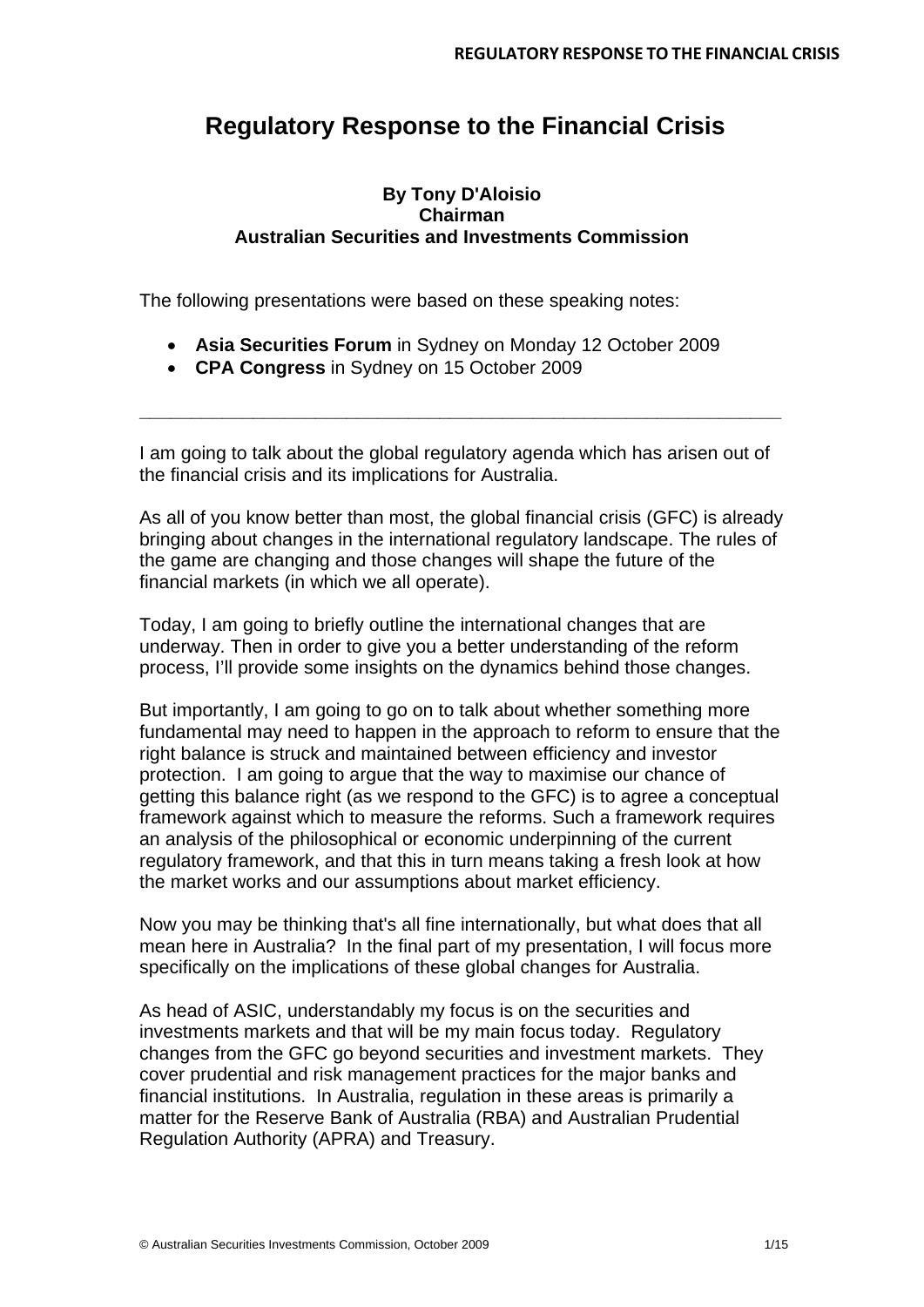# **Regulatory Response to the Financial Crisis**

# **By Tony D'Aloisio Chairman Australian Securities and Investments Commission**

The following presentations were based on these speaking notes:

- **Asia Securities Forum** in Sydney on Monday 12 October 2009
- **CPA Congress** in Sydney on 15 October 2009

I am going to talk about the global regulatory agenda which has arisen out of the financial crisis and its implications for Australia.

**\_\_\_\_\_\_\_\_\_\_\_\_\_\_\_\_\_\_\_\_\_\_\_\_\_\_\_\_\_\_\_\_\_\_\_\_\_\_\_\_\_\_\_\_\_\_\_\_\_\_\_\_\_\_\_\_\_\_\_\_\_\_**

As all of you know better than most, the global financial crisis (GFC) is already bringing about changes in the international regulatory landscape. The rules of the game are changing and those changes will shape the future of the financial markets (in which we all operate).

Today, I am going to briefly outline the international changes that are underway. Then in order to give you a better understanding of the reform process, I'll provide some insights on the dynamics behind those changes.

But importantly, I am going to go on to talk about whether something more fundamental may need to happen in the approach to reform to ensure that the right balance is struck and maintained between efficiency and investor protection. I am going to argue that the way to maximise our chance of getting this balance right (as we respond to the GFC) is to agree a conceptual framework against which to measure the reforms. Such a framework requires an analysis of the philosophical or economic underpinning of the current regulatory framework, and that this in turn means taking a fresh look at how the market works and our assumptions about market efficiency.

Now you may be thinking that's all fine internationally, but what does that all mean here in Australia? In the final part of my presentation, I will focus more specifically on the implications of these global changes for Australia.

As head of ASIC, understandably my focus is on the securities and investments markets and that will be my main focus today. Regulatory changes from the GFC go beyond securities and investment markets. They cover prudential and risk management practices for the major banks and financial institutions. In Australia, regulation in these areas is primarily a matter for the Reserve Bank of Australia (RBA) and Australian Prudential Regulation Authority (APRA) and Treasury.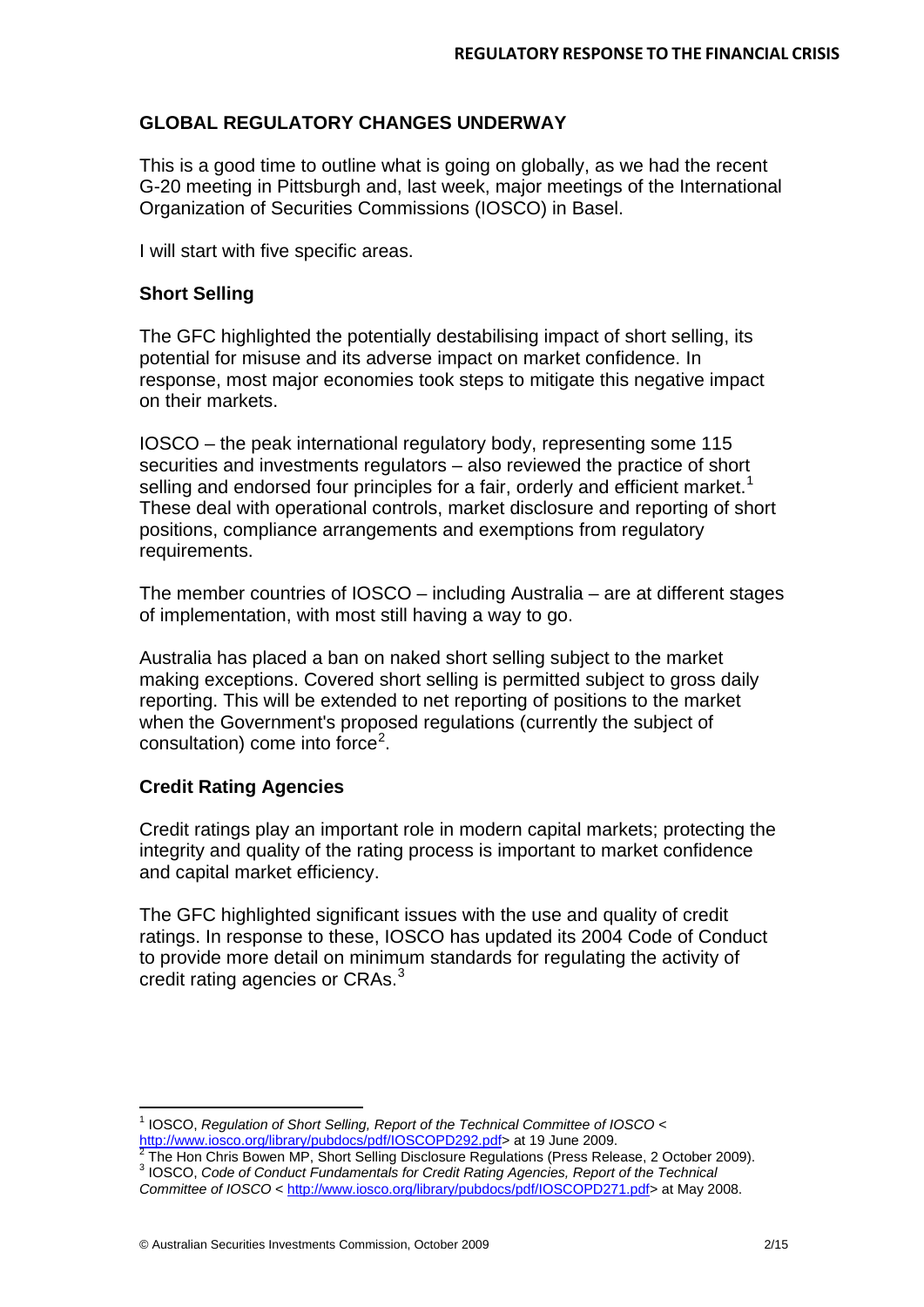# **GLOBAL REGULATORY CHANGES UNDERWAY**

This is a good time to outline what is going on globally, as we had the recent G-20 meeting in Pittsburgh and, last week, major meetings of the International Organization of Securities Commissions (IOSCO) in Basel.

I will start with five specific areas.

#### **Short Selling**

The GFC highlighted the potentially destabilising impact of short selling, its potential for misuse and its adverse impact on market confidence. In response, most major economies took steps to mitigate this negative impact on their markets.

IOSCO – the peak international regulatory body, representing some 115 securities and investments regulators – also reviewed the practice of short selling and endorsed four principles for a fair, orderly and efficient market.<sup>[1](#page-2-0)</sup> These deal with operational controls, market disclosure and reporting of short positions, compliance arrangements and exemptions from regulatory requirements.

The member countries of IOSCO – including Australia – are at different stages of implementation, with most still having a way to go.

Australia has placed a ban on naked short selling subject to the market making exceptions. Covered short selling is permitted subject to gross daily reporting. This will be extended to net reporting of positions to the market when the Government's proposed regulations (currently the subject of consultation) come into force<sup>[2](#page-2-1)</sup>.

# **Credit Rating Agencies**

l

Credit ratings play an important role in modern capital markets; protecting the integrity and quality of the rating process is important to market confidence and capital market efficiency.

The GFC highlighted significant issues with the use and quality of credit ratings. In response to these, IOSCO has updated its 2004 Code of Conduct to provide more detail on minimum standards for regulating the activity of credit rating agencies or CRAs.<sup>[3](#page-2-2)</sup>

<sup>1</sup> IOSCO, *Regulation of Short Selling, Report of the Technical Committee of IOSCO <*

<span id="page-2-1"></span><span id="page-2-0"></span>[http://www.iosco.org/library/pubdocs/pdf/IOSCOPD292.pdf>](http://www.iosco.org/library/pubdocs/pdf/IOSCOPD292.pdf) at 19 June 2009.<br>
The Hon Chris Bowen MP, Short Selling Disclosure Regulations (Press Release, 2 October 2009).<br>
<sup>3</sup> IOSCO, Code of Conduct Fundamentals for Credit R

<span id="page-2-2"></span>*Committee of IOSCO* < [http://www.iosco.org/library/pubdocs/pdf/IOSCOPD271.pdf>](http://www.iosco.org/library/pubdocs/pdf/IOSCOPD271.pdf) at May 2008.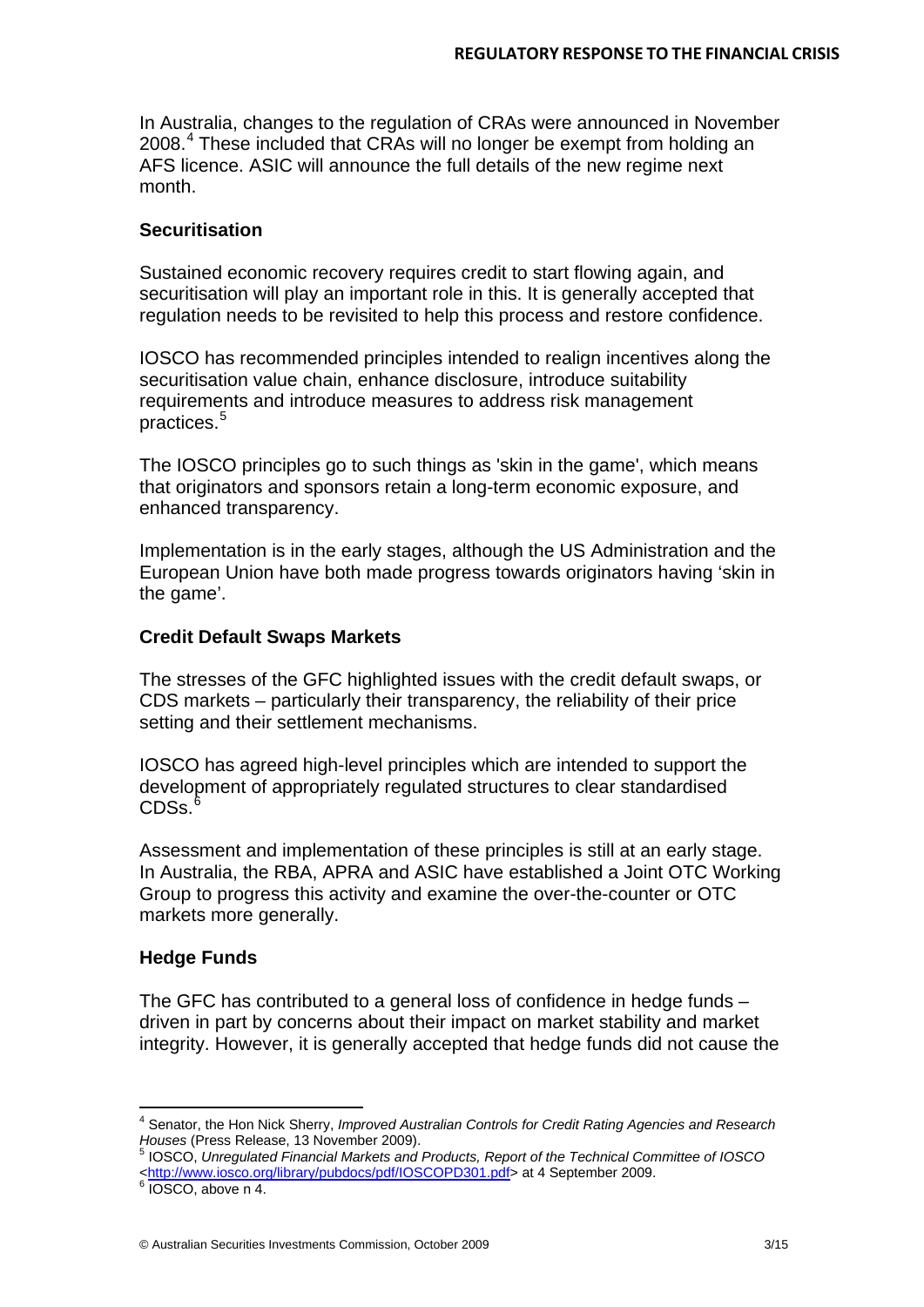In Australia, changes to the regulation of CRAs were announced in November 2008.<sup>[4](#page-3-0)</sup> These included that CRAs will no longer be exempt from holding an AFS licence. ASIC will announce the full details of the new regime next month.

### **Securitisation**

Sustained economic recovery requires credit to start flowing again, and securitisation will play an important role in this. It is generally accepted that regulation needs to be revisited to help this process and restore confidence.

IOSCO has recommended principles intended to realign incentives along the securitisation value chain, enhance disclosure, introduce suitability requirements and introduce measures to address risk management practices. [5](#page-3-1)

The IOSCO principles go to such things as 'skin in the game', which means that originators and sponsors retain a long-term economic exposure, and enhanced transparency.

Implementation is in the early stages, although the US Administration and the European Union have both made progress towards originators having 'skin in the game'.

#### **Credit Default Swaps Markets**

The stresses of the GFC highlighted issues with the credit default swaps, or CDS markets – particularly their transparency, the reliability of their price setting and their settlement mechanisms.

IOSCO has agreed high-level principles which are intended to support the development of appropriately regulated structures to clear standardised  $CDSs.<sup>6</sup>$  $CDSs.<sup>6</sup>$  $CDSs.<sup>6</sup>$ 

Assessment and implementation of these principles is still at an early stage. In Australia, the RBA, APRA and ASIC have established a Joint OTC Working Group to progress this activity and examine the over-the-counter or OTC markets more generally.

#### **Hedge Funds**

The GFC has contributed to a general loss of confidence in hedge funds – driven in part by concerns about their impact on market stability and market integrity. However, it is generally accepted that hedge funds did not cause the

l

<span id="page-3-0"></span><sup>4</sup> Senator, the Hon Nick Sherry, *Improved Australian Controls for Credit Rating Agencies and Research Houses* (Press Release, 13 November 2009). <sup>5</sup> IOSCO, *Unregulated Financial Markets and Products, Report of the Technical Committee of IOSCO*

<span id="page-3-1"></span>[<sup>&</sup>lt;http://www.iosco.org/library/pubdocs/pdf/IOSCOPD301.pdf>](http://www.iosco.org/library/pubdocs/pdf/IOSCOPD301.pdf) at 4 September 2009.<br><sup>6</sup> IOSCO, above n 4.

<span id="page-3-2"></span>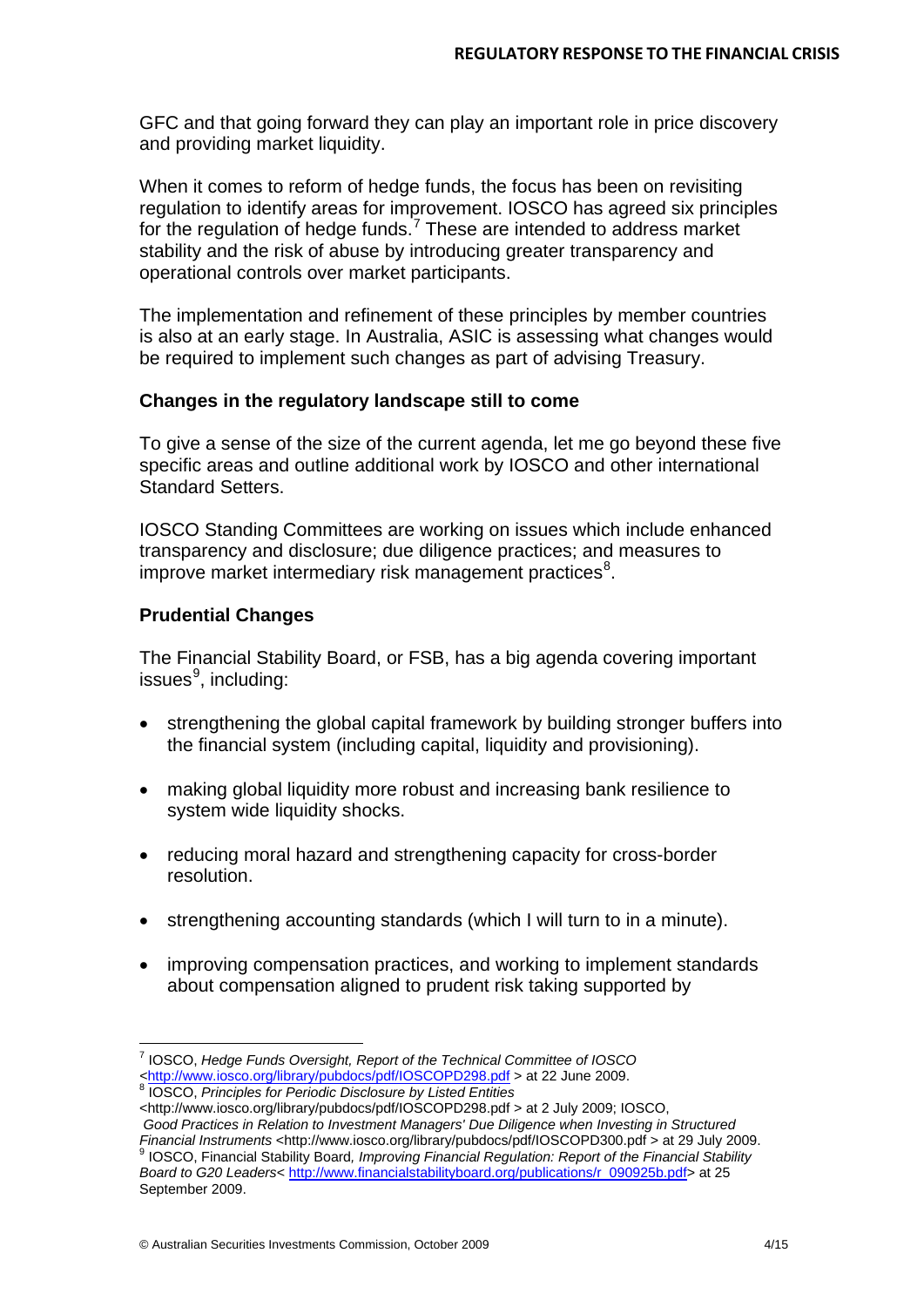GFC and that going forward they can play an important role in price discovery and providing market liquidity.

When it comes to reform of hedge funds, the focus has been on revisiting regulation to identify areas for improvement. IOSCO has agreed six principles for the regulation of hedge funds.<sup>[7](#page-4-0)</sup> These are intended to address market stability and the risk of abuse by introducing greater transparency and operational controls over market participants.

The implementation and refinement of these principles by member countries is also at an early stage. In Australia, ASIC is assessing what changes would be required to implement such changes as part of advising Treasury.

#### **Changes in the regulatory landscape still to come**

To give a sense of the size of the current agenda, let me go beyond these five specific areas and outline additional work by IOSCO and other international Standard Setters.

IOSCO Standing Committees are working on issues which include enhanced transparency and disclosure; due diligence practices; and measures to improve market intermediary risk management practices<sup>[8](#page-4-1)</sup>.

#### **Prudential Changes**

l

The Financial Stability Board, or FSB, has a big agenda covering important issues<sup>[9](#page-4-2)</sup>, including:

- strengthening the global capital framework by building stronger buffers into the financial system (including capital, liquidity and provisioning).
- making global liquidity more robust and increasing bank resilience to system wide liquidity shocks.
- reducing moral hazard and strengthening capacity for cross-border resolution.
- strengthening accounting standards (which I will turn to in a minute).
- improving compensation practices, and working to implement standards about compensation aligned to prudent risk taking supported by

<span id="page-4-0"></span><sup>7</sup> IOSCO, *Hedge Funds Oversight, Report of the Technical Committee of IOSCO* 

<span id="page-4-1"></span><sup>&</sup>lt;sup>8</sup> IOSCO. Principles for Periodic Disclosure by Listed Entities

<sup>&</sup>lt;http://www.iosco.org/library/pubdocs/pdf/IOSCOPD298.pdf > at 2 July 2009; IOSCO, *Good Practices in Relation to Investment Managers' Due Diligence when Investing in Structured*

<span id="page-4-2"></span>*Financial Instruments* <http://www.iosco.org/library/pubdocs/pdf/IOSCOPD300.pdf > at 29 July 2009. <sup>9</sup> IOSCO, Financial Stability Board*, Improving Financial Regulation: Report of the Financial Stability Board to G20 Leaders*< [http://www.financialstabilityboard.org/publications/r\\_090925b.pdf>](http://www.financialstabilityboard.org/publications/r_090925b.pdf) at 25 September 2009.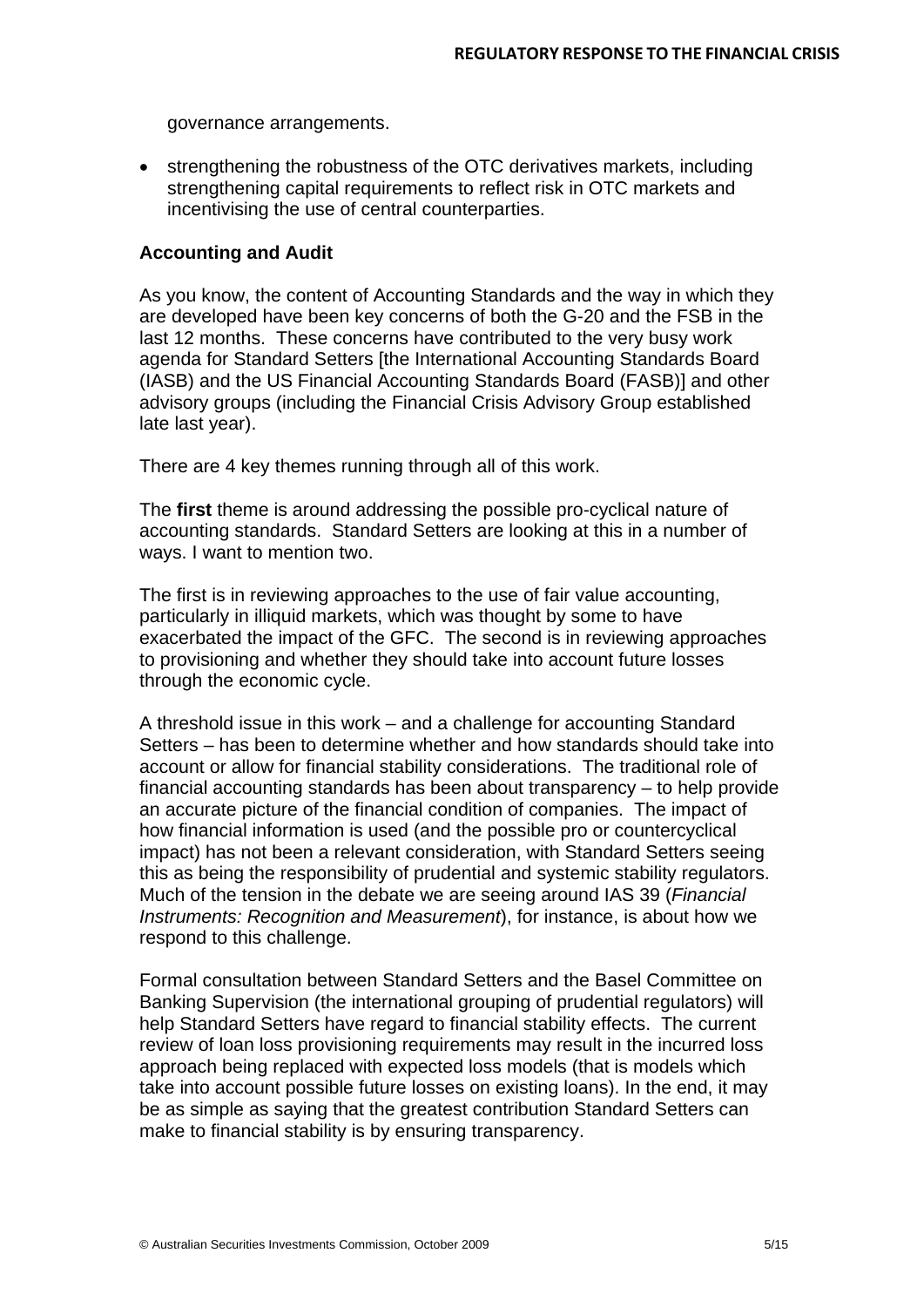governance arrangements.

• strengthening the robustness of the OTC derivatives markets, including strengthening capital requirements to reflect risk in OTC markets and incentivising the use of central counterparties.

#### **Accounting and Audit**

As you know, the content of Accounting Standards and the way in which they are developed have been key concerns of both the G-20 and the FSB in the last 12 months. These concerns have contributed to the very busy work agenda for Standard Setters [the International Accounting Standards Board (IASB) and the US Financial Accounting Standards Board (FASB)] and other advisory groups (including the Financial Crisis Advisory Group established late last year).

There are 4 key themes running through all of this work.

The **first** theme is around addressing the possible pro-cyclical nature of accounting standards. Standard Setters are looking at this in a number of ways. I want to mention two.

The first is in reviewing approaches to the use of fair value accounting, particularly in illiquid markets, which was thought by some to have exacerbated the impact of the GFC. The second is in reviewing approaches to provisioning and whether they should take into account future losses through the economic cycle.

A threshold issue in this work – and a challenge for accounting Standard Setters – has been to determine whether and how standards should take into account or allow for financial stability considerations. The traditional role of financial accounting standards has been about transparency – to help provide an accurate picture of the financial condition of companies. The impact of how financial information is used (and the possible pro or countercyclical impact) has not been a relevant consideration, with Standard Setters seeing this as being the responsibility of prudential and systemic stability regulators. Much of the tension in the debate we are seeing around IAS 39 (*Financial Instruments: Recognition and Measurement*), for instance, is about how we respond to this challenge.

Formal consultation between Standard Setters and the Basel Committee on Banking Supervision (the international grouping of prudential regulators) will help Standard Setters have regard to financial stability effects. The current review of loan loss provisioning requirements may result in the incurred loss approach being replaced with expected loss models (that is models which take into account possible future losses on existing loans). In the end, it may be as simple as saying that the greatest contribution Standard Setters can make to financial stability is by ensuring transparency.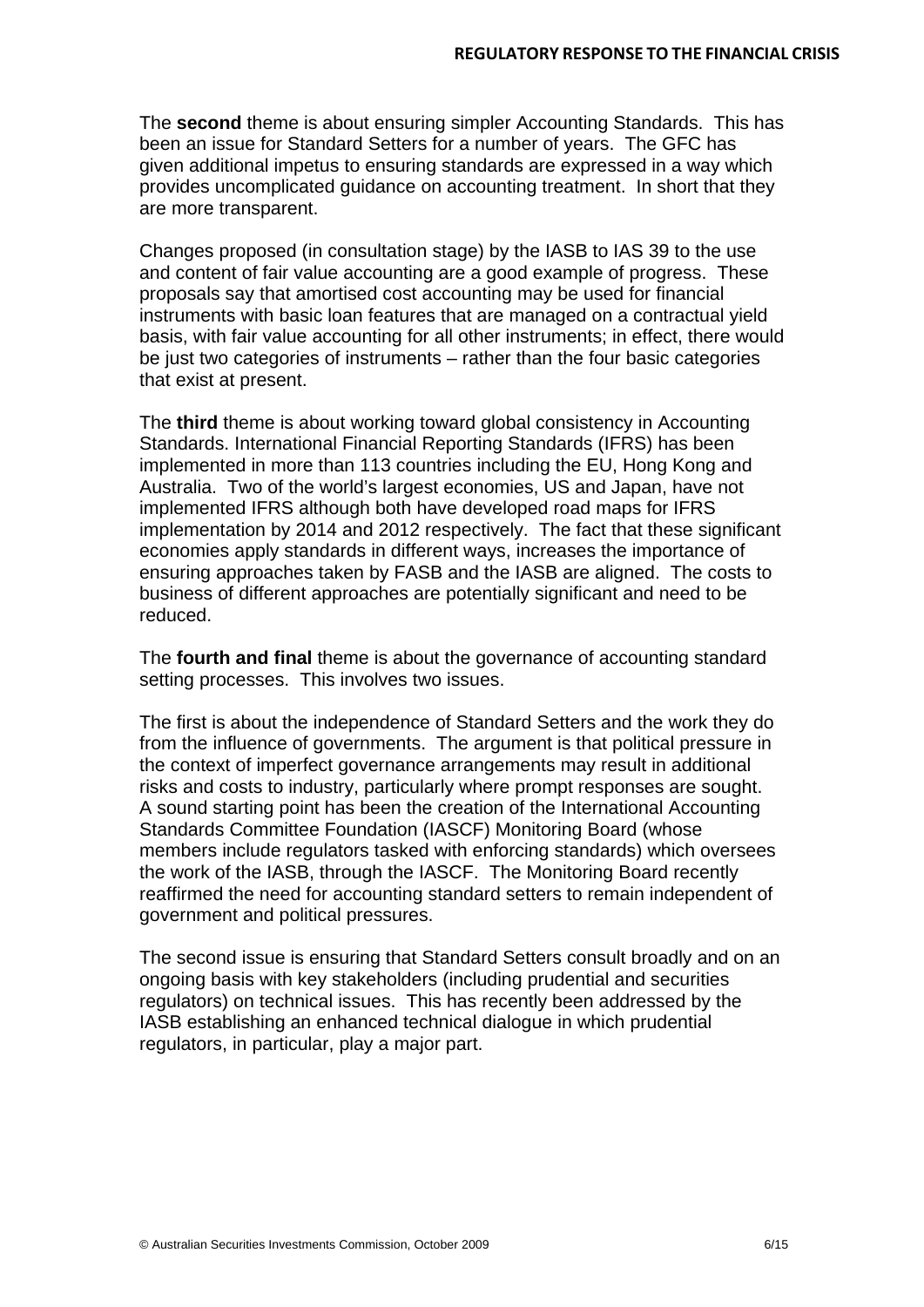The **second** theme is about ensuring simpler Accounting Standards. This has been an issue for Standard Setters for a number of years. The GFC has given additional impetus to ensuring standards are expressed in a way which provides uncomplicated guidance on accounting treatment. In short that they are more transparent.

Changes proposed (in consultation stage) by the IASB to IAS 39 to the use and content of fair value accounting are a good example of progress. These proposals say that amortised cost accounting may be used for financial instruments with basic loan features that are managed on a contractual yield basis, with fair value accounting for all other instruments; in effect, there would be just two categories of instruments – rather than the four basic categories that exist at present.

The **third** theme is about working toward global consistency in Accounting Standards. International Financial Reporting Standards (IFRS) has been implemented in more than 113 countries including the EU, Hong Kong and Australia. Two of the world's largest economies, US and Japan, have not implemented IFRS although both have developed road maps for IFRS implementation by 2014 and 2012 respectively. The fact that these significant economies apply standards in different ways, increases the importance of ensuring approaches taken by FASB and the IASB are aligned. The costs to business of different approaches are potentially significant and need to be reduced.

The **fourth and final** theme is about the governance of accounting standard setting processes. This involves two issues.

The first is about the independence of Standard Setters and the work they do from the influence of governments. The argument is that political pressure in the context of imperfect governance arrangements may result in additional risks and costs to industry, particularly where prompt responses are sought. A sound starting point has been the creation of the International Accounting Standards Committee Foundation (IASCF) Monitoring Board (whose members include regulators tasked with enforcing standards) which oversees the work of the IASB, through the IASCF. The Monitoring Board recently reaffirmed the need for accounting standard setters to remain independent of government and political pressures.

The second issue is ensuring that Standard Setters consult broadly and on an ongoing basis with key stakeholders (including prudential and securities regulators) on technical issues. This has recently been addressed by the IASB establishing an enhanced technical dialogue in which prudential regulators, in particular, play a major part.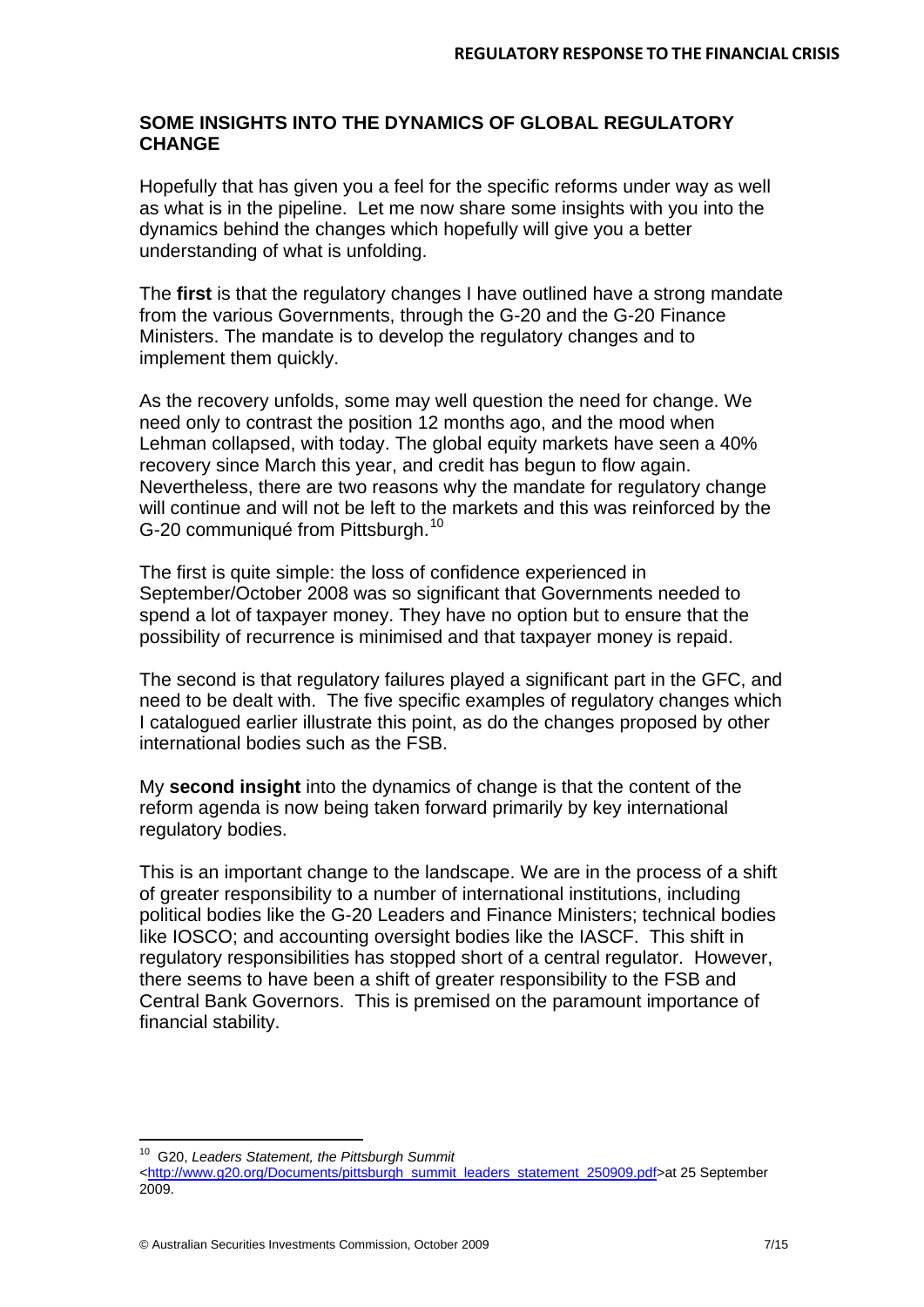# **SOME INSIGHTS INTO THE DYNAMICS OF GLOBAL REGULATORY CHANGE**

Hopefully that has given you a feel for the specific reforms under way as well as what is in the pipeline. Let me now share some insights with you into the dynamics behind the changes which hopefully will give you a better understanding of what is unfolding.

The **first** is that the regulatory changes I have outlined have a strong mandate from the various Governments, through the G-20 and the G-20 Finance Ministers. The mandate is to develop the regulatory changes and to implement them quickly.

As the recovery unfolds, some may well question the need for change. We need only to contrast the position 12 months ago, and the mood when Lehman collapsed, with today. The global equity markets have seen a 40% recovery since March this year, and credit has begun to flow again. Nevertheless, there are two reasons why the mandate for regulatory change will continue and will not be left to the markets and this was reinforced by the G-20 communiqué from Pittsburgh.<sup>[10](#page-7-0)</sup>

The first is quite simple: the loss of confidence experienced in September/October 2008 was so significant that Governments needed to spend a lot of taxpayer money. They have no option but to ensure that the possibility of recurrence is minimised and that taxpayer money is repaid.

The second is that regulatory failures played a significant part in the GFC, and need to be dealt with. The five specific examples of regulatory changes which I catalogued earlier illustrate this point, as do the changes proposed by other international bodies such as the FSB.

My **second insight** into the dynamics of change is that the content of the reform agenda is now being taken forward primarily by key international regulatory bodies.

This is an important change to the landscape. We are in the process of a shift of greater responsibility to a number of international institutions, including political bodies like the G-20 Leaders and Finance Ministers; technical bodies like IOSCO; and accounting oversight bodies like the IASCF. This shift in regulatory responsibilities has stopped short of a central regulator. However, there seems to have been a shift of greater responsibility to the FSB and Central Bank Governors. This is premised on the paramount importance of financial stability.

l

<span id="page-7-0"></span><sup>10</sup> G20, *Leaders Statement, the Pittsburgh Summit* 

*<sup>&</sup>lt;* [http://www.g20.org/Documents/pittsburgh\\_summit\\_leaders\\_statement\\_250909.pdf>](http://www.g20.org/Documents/pittsburgh_summit_leaders_statement_250909.pdf)at 25 September 2009.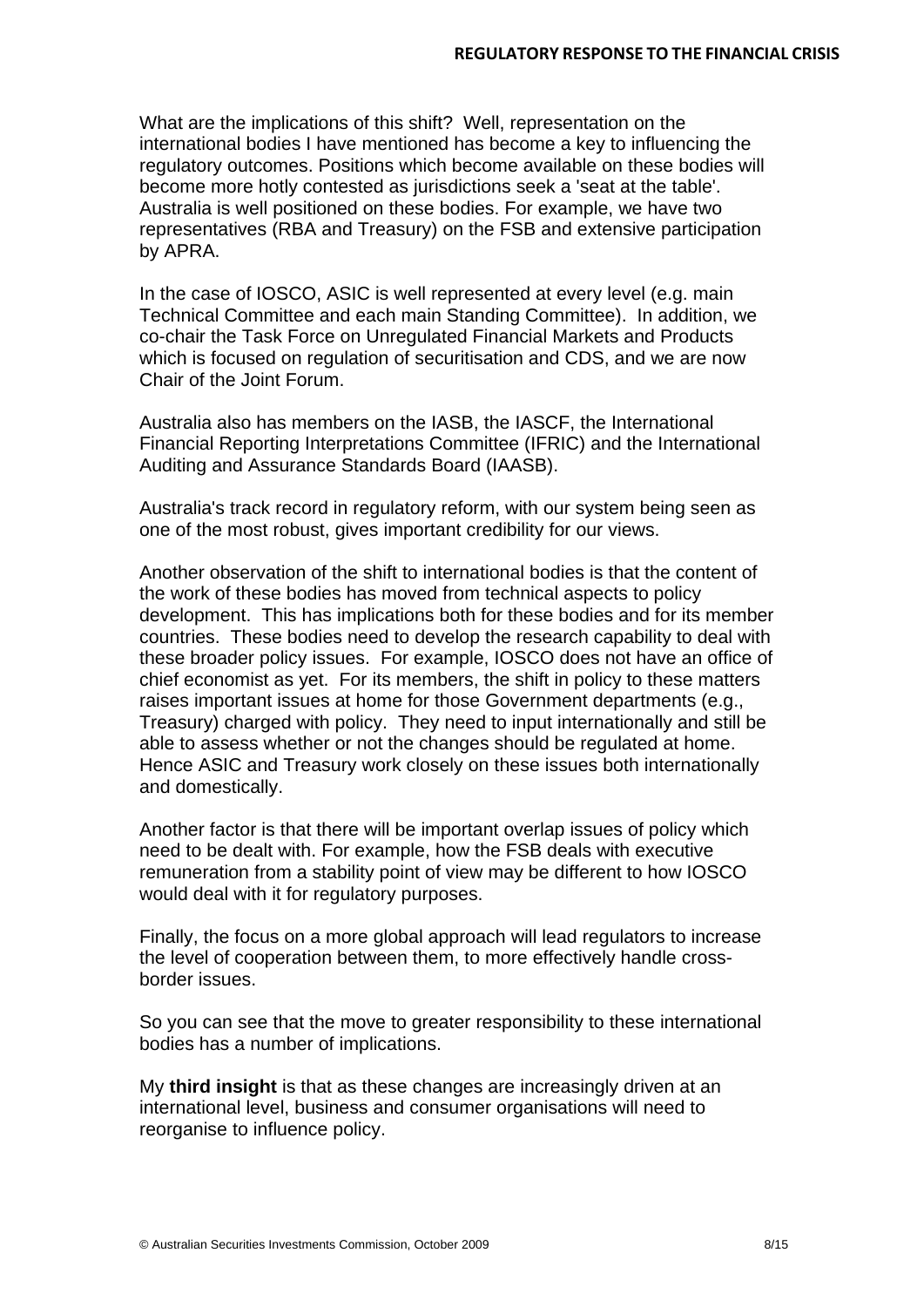What are the implications of this shift? Well, representation on the international bodies I have mentioned has become a key to influencing the regulatory outcomes. Positions which become available on these bodies will become more hotly contested as jurisdictions seek a 'seat at the table'. Australia is well positioned on these bodies. For example, we have two representatives (RBA and Treasury) on the FSB and extensive participation by APRA.

In the case of IOSCO, ASIC is well represented at every level (e.g. main Technical Committee and each main Standing Committee). In addition, we co-chair the Task Force on Unregulated Financial Markets and Products which is focused on regulation of securitisation and CDS, and we are now Chair of the Joint Forum.

Australia also has members on the IASB, the IASCF, the International Financial Reporting Interpretations Committee (IFRIC) and the International Auditing and Assurance Standards Board (IAASB).

Australia's track record in regulatory reform, with our system being seen as one of the most robust, gives important credibility for our views.

Another observation of the shift to international bodies is that the content of the work of these bodies has moved from technical aspects to policy development. This has implications both for these bodies and for its member countries. These bodies need to develop the research capability to deal with these broader policy issues. For example, IOSCO does not have an office of chief economist as yet. For its members, the shift in policy to these matters raises important issues at home for those Government departments (e.g., Treasury) charged with policy. They need to input internationally and still be able to assess whether or not the changes should be regulated at home. Hence ASIC and Treasury work closely on these issues both internationally and domestically.

Another factor is that there will be important overlap issues of policy which need to be dealt with. For example, how the FSB deals with executive remuneration from a stability point of view may be different to how IOSCO would deal with it for regulatory purposes.

Finally, the focus on a more global approach will lead regulators to increase the level of cooperation between them, to more effectively handle crossborder issues.

So you can see that the move to greater responsibility to these international bodies has a number of implications.

My **third insight** is that as these changes are increasingly driven at an international level, business and consumer organisations will need to reorganise to influence policy.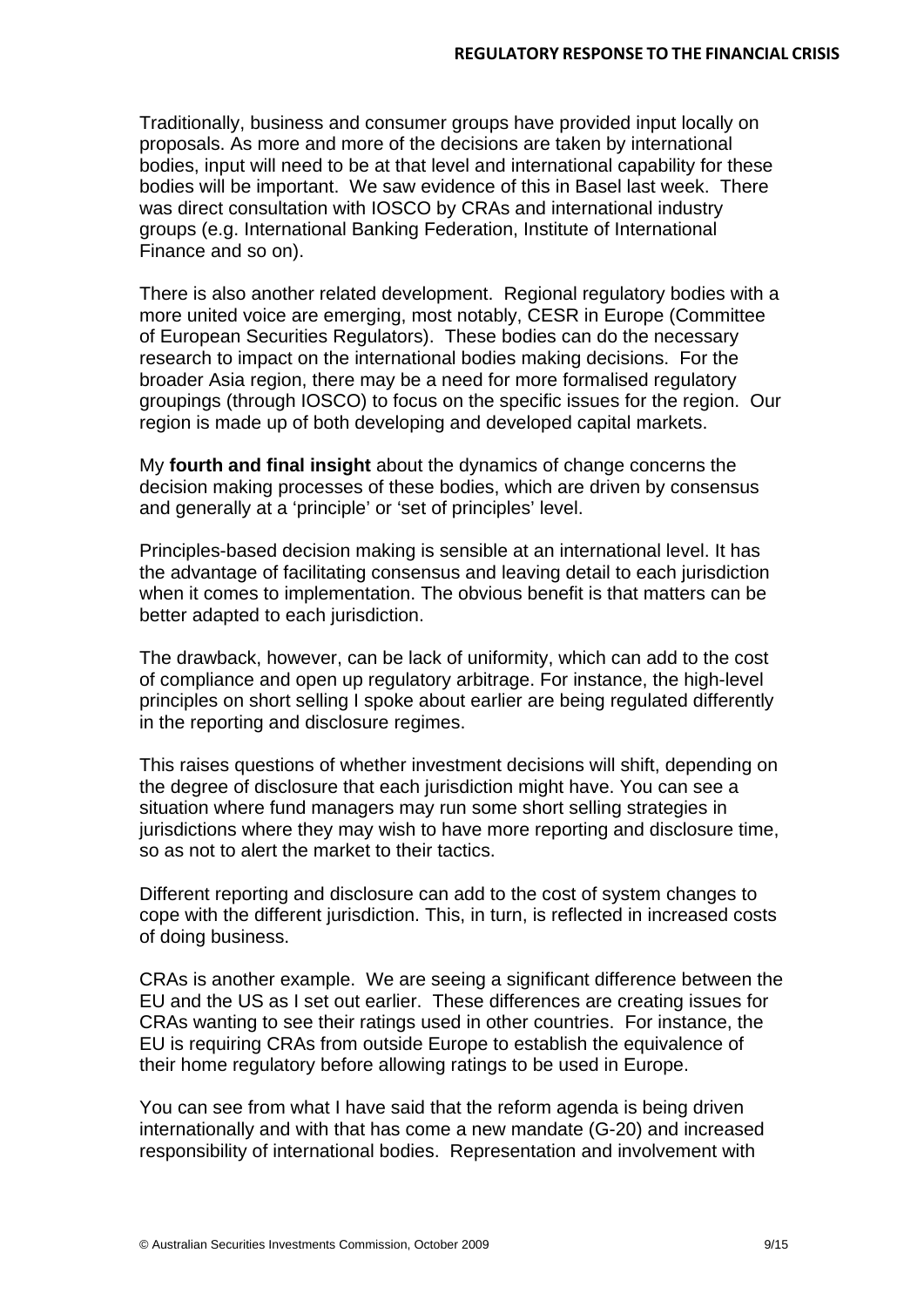Traditionally, business and consumer groups have provided input locally on proposals. As more and more of the decisions are taken by international bodies, input will need to be at that level and international capability for these bodies will be important. We saw evidence of this in Basel last week. There was direct consultation with IOSCO by CRAs and international industry groups (e.g. International Banking Federation, Institute of International Finance and so on).

There is also another related development. Regional regulatory bodies with a more united voice are emerging, most notably, CESR in Europe (Committee of European Securities Regulators). These bodies can do the necessary research to impact on the international bodies making decisions. For the broader Asia region, there may be a need for more formalised regulatory groupings (through IOSCO) to focus on the specific issues for the region. Our region is made up of both developing and developed capital markets.

My **fourth and final insight** about the dynamics of change concerns the decision making processes of these bodies, which are driven by consensus and generally at a 'principle' or 'set of principles' level.

Principles-based decision making is sensible at an international level. It has the advantage of facilitating consensus and leaving detail to each jurisdiction when it comes to implementation. The obvious benefit is that matters can be better adapted to each jurisdiction.

The drawback, however, can be lack of uniformity, which can add to the cost of compliance and open up regulatory arbitrage. For instance, the high-level principles on short selling I spoke about earlier are being regulated differently in the reporting and disclosure regimes.

This raises questions of whether investment decisions will shift, depending on the degree of disclosure that each jurisdiction might have. You can see a situation where fund managers may run some short selling strategies in jurisdictions where they may wish to have more reporting and disclosure time, so as not to alert the market to their tactics.

Different reporting and disclosure can add to the cost of system changes to cope with the different jurisdiction. This, in turn, is reflected in increased costs of doing business.

CRAs is another example. We are seeing a significant difference between the EU and the US as I set out earlier. These differences are creating issues for CRAs wanting to see their ratings used in other countries. For instance, the EU is requiring CRAs from outside Europe to establish the equivalence of their home regulatory before allowing ratings to be used in Europe.

You can see from what I have said that the reform agenda is being driven internationally and with that has come a new mandate (G-20) and increased responsibility of international bodies. Representation and involvement with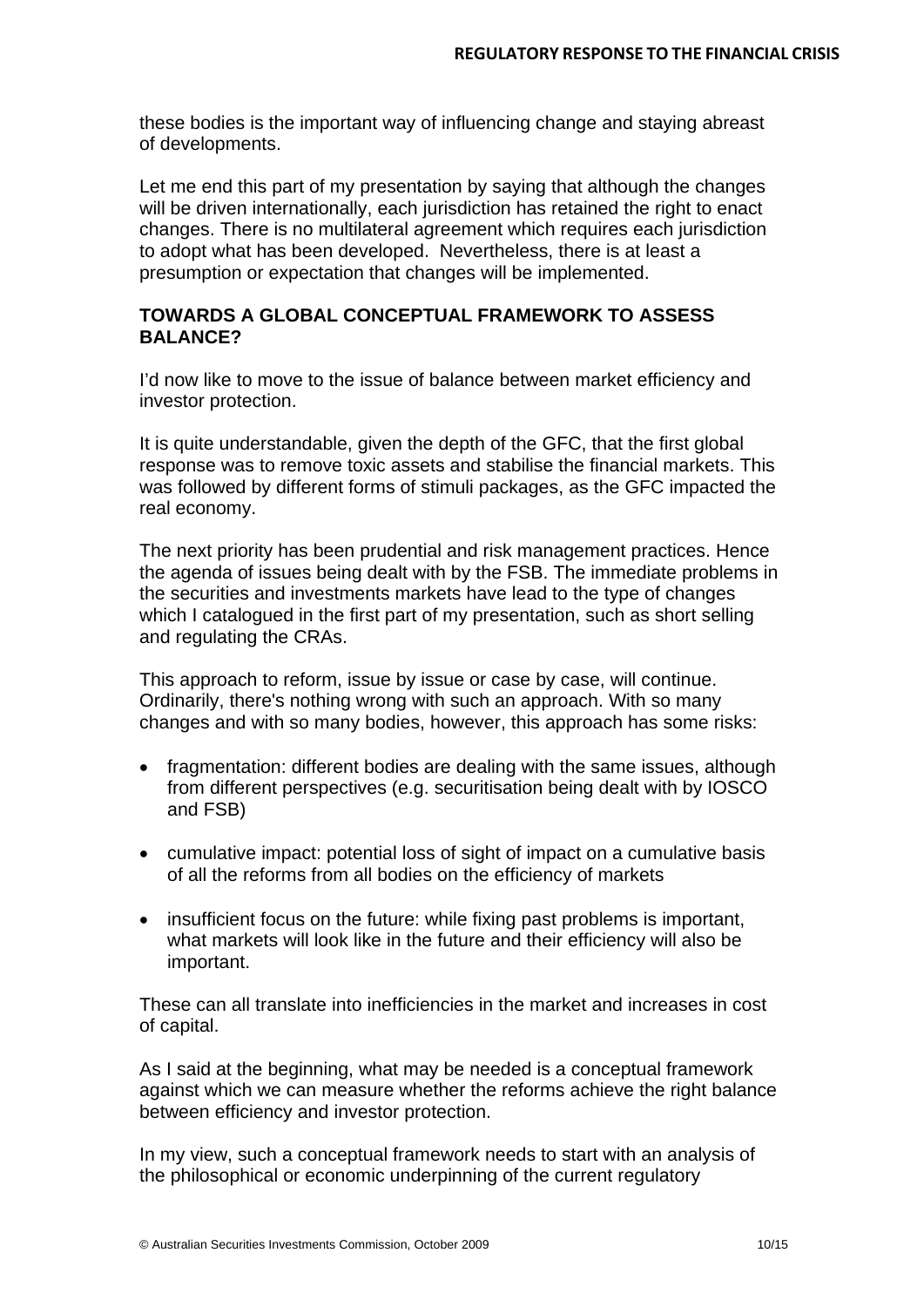these bodies is the important way of influencing change and staying abreast of developments.

Let me end this part of my presentation by saying that although the changes will be driven internationally, each jurisdiction has retained the right to enact changes. There is no multilateral agreement which requires each jurisdiction to adopt what has been developed. Nevertheless, there is at least a presumption or expectation that changes will be implemented.

# **TOWARDS A GLOBAL CONCEPTUAL FRAMEWORK TO ASSESS BALANCE?**

I'd now like to move to the issue of balance between market efficiency and investor protection.

It is quite understandable, given the depth of the GFC, that the first global response was to remove toxic assets and stabilise the financial markets. This was followed by different forms of stimuli packages, as the GFC impacted the real economy.

The next priority has been prudential and risk management practices. Hence the agenda of issues being dealt with by the FSB. The immediate problems in the securities and investments markets have lead to the type of changes which I catalogued in the first part of my presentation, such as short selling and regulating the CRAs.

This approach to reform, issue by issue or case by case, will continue. Ordinarily, there's nothing wrong with such an approach. With so many changes and with so many bodies, however, this approach has some risks:

- fragmentation: different bodies are dealing with the same issues, although from different perspectives (e.g. securitisation being dealt with by IOSCO and FSB)
- cumulative impact: potential loss of sight of impact on a cumulative basis of all the reforms from all bodies on the efficiency of markets
- insufficient focus on the future: while fixing past problems is important, what markets will look like in the future and their efficiency will also be important.

These can all translate into inefficiencies in the market and increases in cost of capital.

As I said at the beginning, what may be needed is a conceptual framework against which we can measure whether the reforms achieve the right balance between efficiency and investor protection.

In my view, such a conceptual framework needs to start with an analysis of the philosophical or economic underpinning of the current regulatory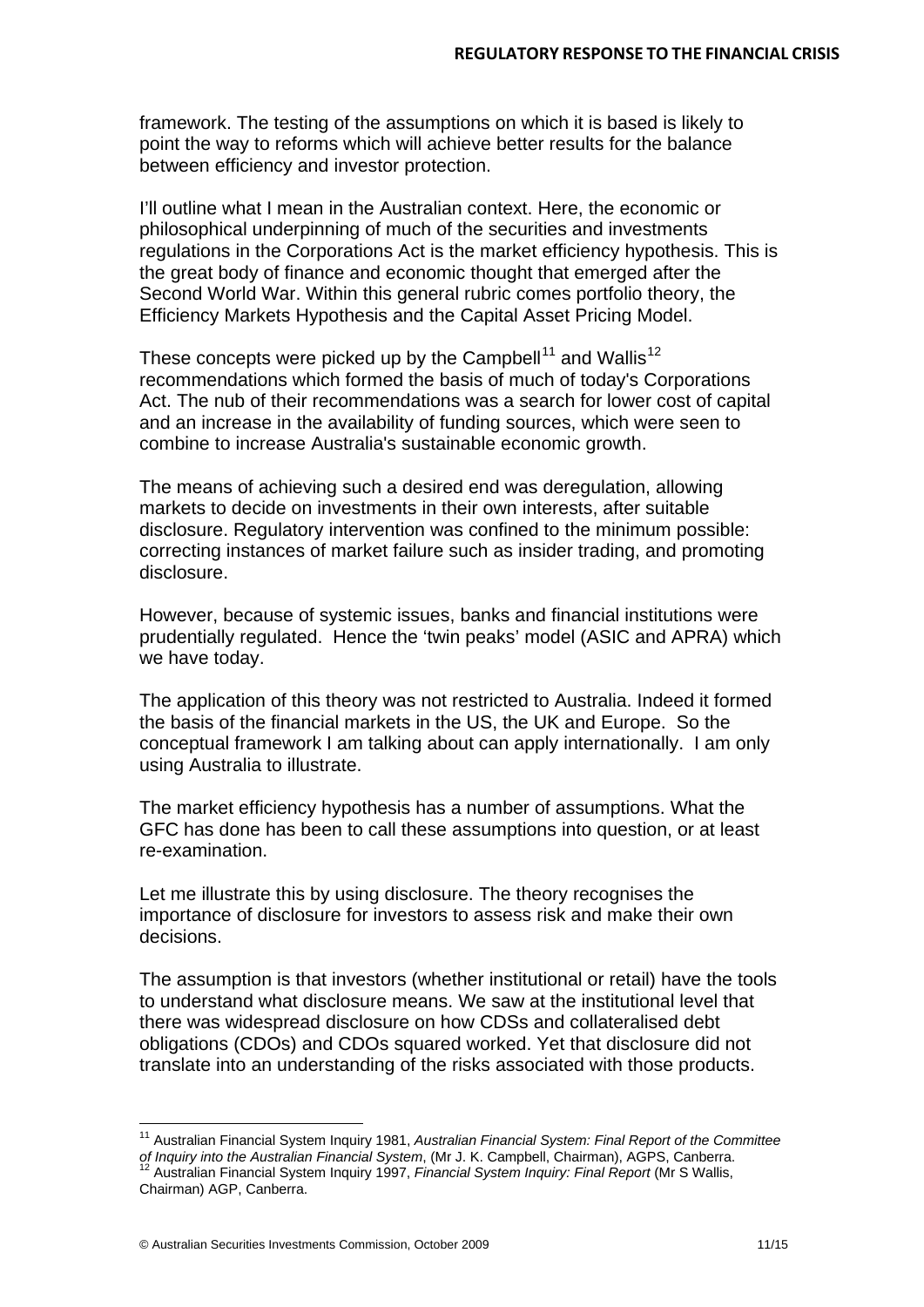framework. The testing of the assumptions on which it is based is likely to point the way to reforms which will achieve better results for the balance between efficiency and investor protection.

I'll outline what I mean in the Australian context. Here, the economic or philosophical underpinning of much of the securities and investments regulations in the Corporations Act is the market efficiency hypothesis. This is the great body of finance and economic thought that emerged after the Second World War. Within this general rubric comes portfolio theory, the Efficiency Markets Hypothesis and the Capital Asset Pricing Model.

These concepts were picked up by the Campbell<sup>[11](#page-11-0)</sup> and Wallis<sup>[12](#page-11-1)</sup> recommendations which formed the basis of much of today's Corporations Act. The nub of their recommendations was a search for lower cost of capital and an increase in the availability of funding sources, which were seen to combine to increase Australia's sustainable economic growth.

The means of achieving such a desired end was deregulation, allowing markets to decide on investments in their own interests, after suitable disclosure. Regulatory intervention was confined to the minimum possible: correcting instances of market failure such as insider trading, and promoting disclosure.

However, because of systemic issues, banks and financial institutions were prudentially regulated. Hence the 'twin peaks' model (ASIC and APRA) which we have today.

The application of this theory was not restricted to Australia. Indeed it formed the basis of the financial markets in the US, the UK and Europe. So the conceptual framework I am talking about can apply internationally. I am only using Australia to illustrate.

The market efficiency hypothesis has a number of assumptions. What the GFC has done has been to call these assumptions into question, or at least re-examination.

Let me illustrate this by using disclosure. The theory recognises the importance of disclosure for investors to assess risk and make their own decisions.

The assumption is that investors (whether institutional or retail) have the tools to understand what disclosure means. We saw at the institutional level that there was widespread disclosure on how CDSs and collateralised debt obligations (CDOs) and CDOs squared worked. Yet that disclosure did not translate into an understanding of the risks associated with those products.

l

<span id="page-11-1"></span><span id="page-11-0"></span><sup>11</sup> Australian Financial System Inquiry 1981, *Australian Financial System: Final Report of the Committee of Inquiry into the Australian Financial System*, (Mr J. K. Campbell, Chairman), AGPS, Canberra. <sup>12</sup> Australian Financial System Inquiry 1997, *Financial System Inquiry: Final Report* (Mr S Wallis, Chairman) AGP, Canberra.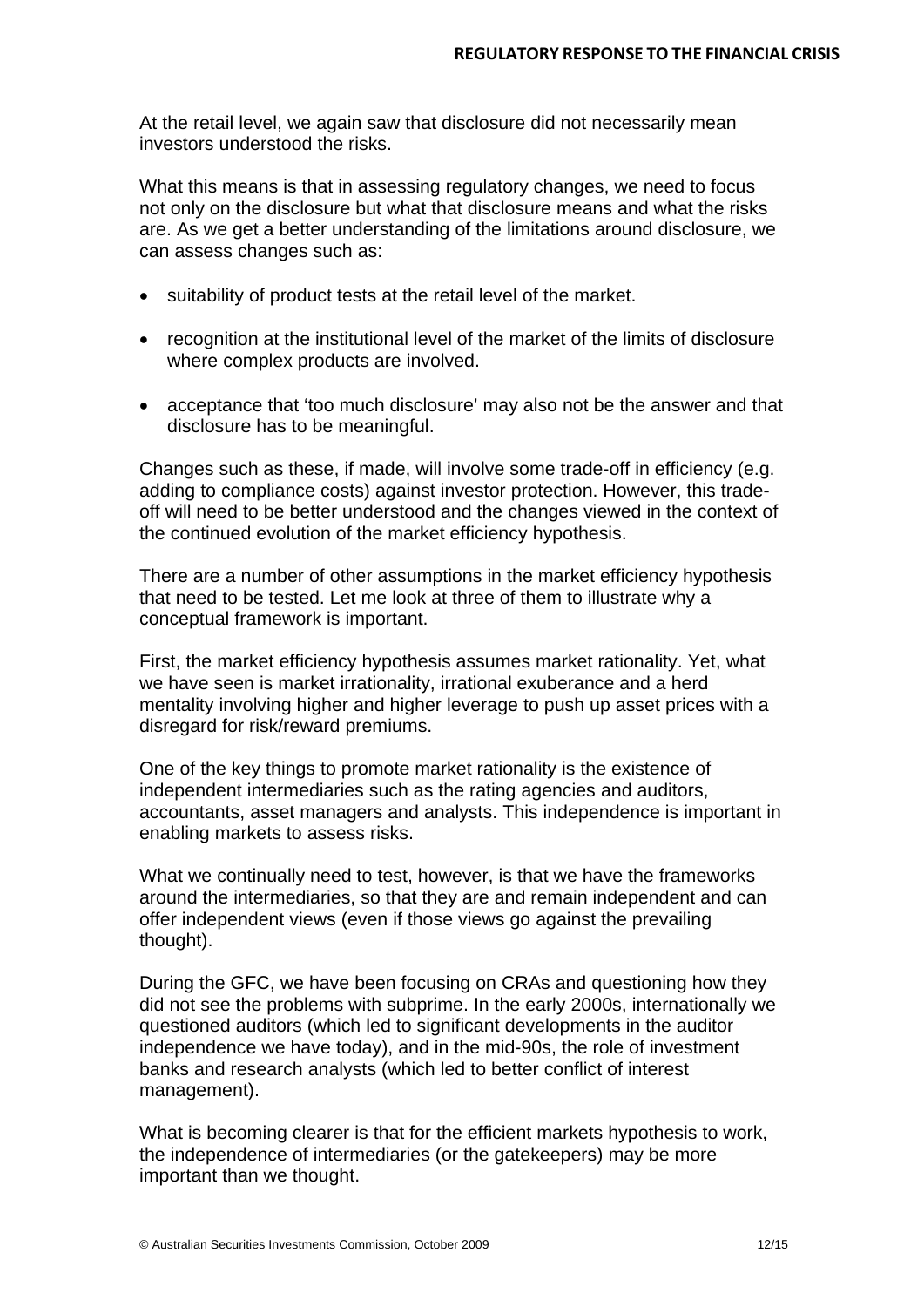At the retail level, we again saw that disclosure did not necessarily mean investors understood the risks.

What this means is that in assessing regulatory changes, we need to focus not only on the disclosure but what that disclosure means and what the risks are. As we get a better understanding of the limitations around disclosure, we can assess changes such as:

- suitability of product tests at the retail level of the market.
- recognition at the institutional level of the market of the limits of disclosure where complex products are involved.
- acceptance that 'too much disclosure' may also not be the answer and that disclosure has to be meaningful.

Changes such as these, if made, will involve some trade-off in efficiency (e.g. adding to compliance costs) against investor protection. However, this tradeoff will need to be better understood and the changes viewed in the context of the continued evolution of the market efficiency hypothesis.

There are a number of other assumptions in the market efficiency hypothesis that need to be tested. Let me look at three of them to illustrate why a conceptual framework is important.

First, the market efficiency hypothesis assumes market rationality. Yet, what we have seen is market irrationality, irrational exuberance and a herd mentality involving higher and higher leverage to push up asset prices with a disregard for risk/reward premiums.

One of the key things to promote market rationality is the existence of independent intermediaries such as the rating agencies and auditors, accountants, asset managers and analysts. This independence is important in enabling markets to assess risks.

What we continually need to test, however, is that we have the frameworks around the intermediaries, so that they are and remain independent and can offer independent views (even if those views go against the prevailing thought).

During the GFC, we have been focusing on CRAs and questioning how they did not see the problems with subprime. In the early 2000s, internationally we questioned auditors (which led to significant developments in the auditor independence we have today), and in the mid-90s, the role of investment banks and research analysts (which led to better conflict of interest management).

What is becoming clearer is that for the efficient markets hypothesis to work, the independence of intermediaries (or the gatekeepers) may be more important than we thought.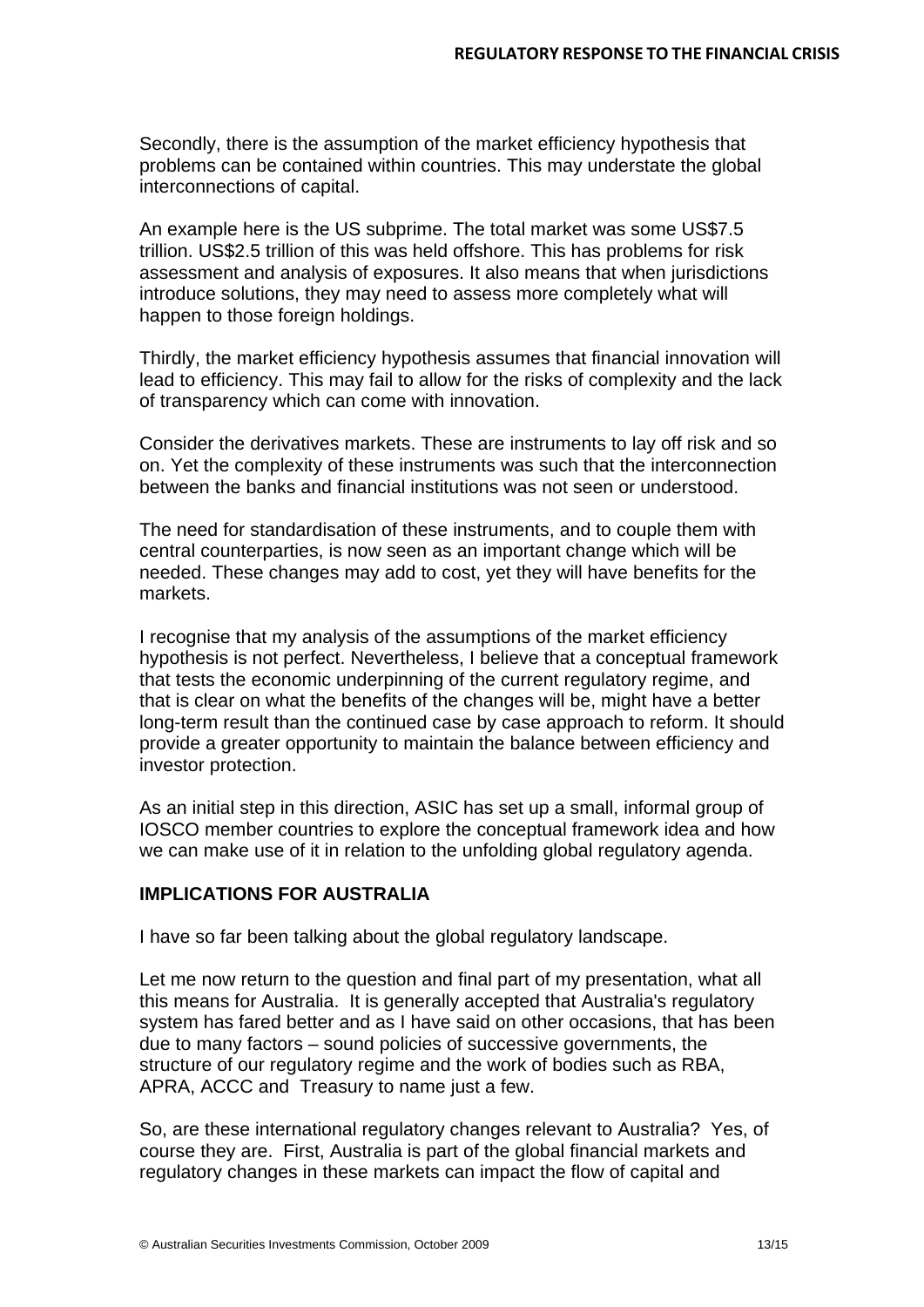Secondly, there is the assumption of the market efficiency hypothesis that problems can be contained within countries. This may understate the global interconnections of capital.

An example here is the US subprime. The total market was some US\$7.5 trillion. US\$2.5 trillion of this was held offshore. This has problems for risk assessment and analysis of exposures. It also means that when jurisdictions introduce solutions, they may need to assess more completely what will happen to those foreign holdings.

Thirdly, the market efficiency hypothesis assumes that financial innovation will lead to efficiency. This may fail to allow for the risks of complexity and the lack of transparency which can come with innovation.

Consider the derivatives markets. These are instruments to lay off risk and so on. Yet the complexity of these instruments was such that the interconnection between the banks and financial institutions was not seen or understood.

The need for standardisation of these instruments, and to couple them with central counterparties, is now seen as an important change which will be needed. These changes may add to cost, yet they will have benefits for the markets.

I recognise that my analysis of the assumptions of the market efficiency hypothesis is not perfect. Nevertheless, I believe that a conceptual framework that tests the economic underpinning of the current regulatory regime, and that is clear on what the benefits of the changes will be, might have a better long-term result than the continued case by case approach to reform. It should provide a greater opportunity to maintain the balance between efficiency and investor protection.

As an initial step in this direction, ASIC has set up a small, informal group of IOSCO member countries to explore the conceptual framework idea and how we can make use of it in relation to the unfolding global regulatory agenda.

# **IMPLICATIONS FOR AUSTRALIA**

I have so far been talking about the global regulatory landscape.

Let me now return to the question and final part of my presentation, what all this means for Australia. It is generally accepted that Australia's regulatory system has fared better and as I have said on other occasions, that has been due to many factors – sound policies of successive governments, the structure of our regulatory regime and the work of bodies such as RBA, APRA, ACCC and Treasury to name just a few.

So, are these international regulatory changes relevant to Australia? Yes, of course they are. First, Australia is part of the global financial markets and regulatory changes in these markets can impact the flow of capital and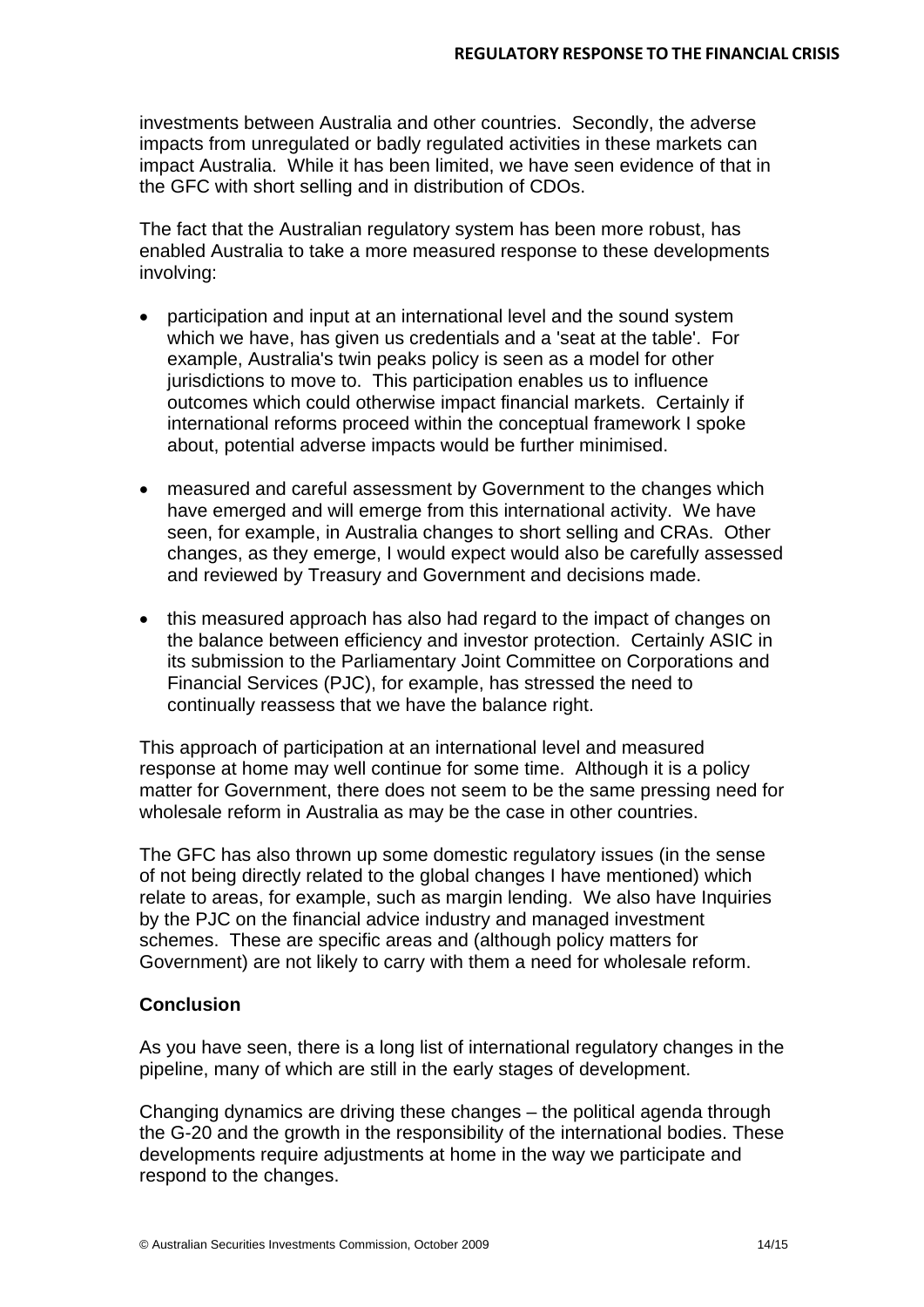investments between Australia and other countries. Secondly, the adverse impacts from unregulated or badly regulated activities in these markets can impact Australia. While it has been limited, we have seen evidence of that in the GFC with short selling and in distribution of CDOs.

The fact that the Australian regulatory system has been more robust, has enabled Australia to take a more measured response to these developments involving:

- participation and input at an international level and the sound system which we have, has given us credentials and a 'seat at the table'. For example, Australia's twin peaks policy is seen as a model for other jurisdictions to move to. This participation enables us to influence outcomes which could otherwise impact financial markets. Certainly if international reforms proceed within the conceptual framework I spoke about, potential adverse impacts would be further minimised.
- measured and careful assessment by Government to the changes which have emerged and will emerge from this international activity. We have seen, for example, in Australia changes to short selling and CRAs. Other changes, as they emerge, I would expect would also be carefully assessed and reviewed by Treasury and Government and decisions made.
- this measured approach has also had regard to the impact of changes on the balance between efficiency and investor protection. Certainly ASIC in its submission to the Parliamentary Joint Committee on Corporations and Financial Services (PJC), for example, has stressed the need to continually reassess that we have the balance right.

This approach of participation at an international level and measured response at home may well continue for some time. Although it is a policy matter for Government, there does not seem to be the same pressing need for wholesale reform in Australia as may be the case in other countries.

The GFC has also thrown up some domestic regulatory issues (in the sense of not being directly related to the global changes I have mentioned) which relate to areas, for example, such as margin lending. We also have Inquiries by the PJC on the financial advice industry and managed investment schemes. These are specific areas and (although policy matters for Government) are not likely to carry with them a need for wholesale reform.

# **Conclusion**

As you have seen, there is a long list of international regulatory changes in the pipeline, many of which are still in the early stages of development.

Changing dynamics are driving these changes – the political agenda through the G-20 and the growth in the responsibility of the international bodies. These developments require adjustments at home in the way we participate and respond to the changes.